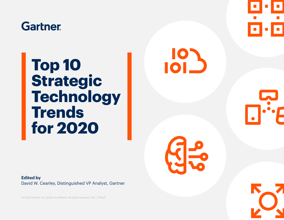## **Gartner**

## **Top 10 Strategic Technology Trends for 2020**

**Edited by**  David W. Cearley, Distinguished VP Analyst, Gartner

© 2020 Gartner, Inc. and/or its affiliates. All rights reserved. CM\_I\_754447



**101** 

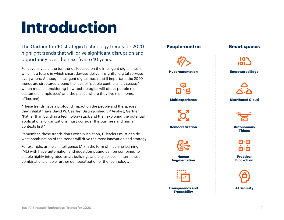# **Introduction**

The Gartner top 10 strategic technology trends for 2020 highlight trends that will drive significant disruption and opportunity over the next five to 10 years.

For several years, the top trends focused on the intelligent digital mesh, which is a future in which smart devices deliver insightful digital services everywhere. Although intelligent digital mesh is still important, the 2020 trends are structured around the idea of "people-centric smart spaces" which means considering how technologies will affect people (i.e., customers, employees) and the places where they live (i.e., home, office, car).

"These trends have a profound impact on the people and the spaces they inhabit," says David W. Cearley, Distinguished VP Analyst, Gartner. "Rather than building a technology stack and then exploring the potential applications, organizations must consider the business and human contexts first."

Remember, these trends don't exist in isolation; IT leaders must decide what combination of the trends will drive the most innovation and strategy.

For example, artificial intelligence (AI) in the form of machine learning (ML) with hyperautomation and edge computing can be combined to enable highly integrated smart buildings and city spaces. In turn, these combinations enable further democratization of the technology.

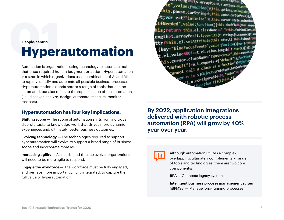## **01Hyperautomation People-centric**

Automation is organizations using technology to automate tasks that once required human judgment or action. Hyperautomation is a state in which organizations use a combination of AI and ML to rapidly identify and automate all possible business processes. Hyperautomation extends across a range of tools that can be automated, but also refers to the sophistication of the automation (i.e., discover, analyze, design, automate, measure, monitor, reassess).

### **Hyperautomation has four key implications:**

**Shifting scope —** The scope of automation shifts from individual discrete tasks to knowledge work that drives more dynamic experiences and, ultimately, better business outcomes.

**Evolving technology —** The technologies required to support hyperautomation will evolve to support a broad range of business scope and incorporate more ML.

**Increasing agility —** As needs (and threats) evolve, organizations will need to be more agile to respond.

**Engage the workforce —** The workforce must be fully engaged, and perhaps more importantly, fully integrated, to capture the full value of hyperautomation.



**By 2022, application integrations delivered with robotic process automation (RPA) will grow by 40% year over year.**



Although automation utilizes a complex, overlapping, ultimately complementary range of tools and technologies, there are two core components:

**RPA —** Connects legacy systems

**Intelligent business process management suites** (iBPMSs) — Manage long-running processes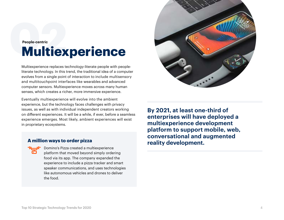## **02Multiexperience People-centric**

Multiexperience replaces technology-literate people with peopleliterate technology. In this trend, the traditional idea of a computer evolves from a single point of interaction to include multisensory and multitouchpoint interfaces like wearables and advanced computer sensors. Multiexperience moves across many human senses, which creates a richer, more immersive experience.

Eventually multiexperience will evolve into the ambient experience, but the technology faces challenges with privacy issues, as well as with individual independent creators working on different experiences. It will be a while, if ever, before a seamless experience emerges. Most likely, ambient experiences will exist in proprietary ecosystems.

#### **A million ways to order pizza**

Domino's Pizza created a multiexperience platform that moved beyond simply ordering food via its app. The company expanded the experience to include a pizza tracker and smart speaker communications, and uses technologies like autonomous vehicles and drones to deliver the food.



**By 2021, at least one-third of enterprises will have deployed a multiexperience development platform to support mobile, web, conversational and augmented reality development.**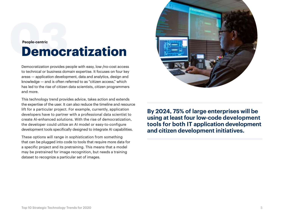## **Democratization People-centric**

Democratization provides people with easy, low-/no-cost access to technical or business domain expertise. It focuses on four key areas — application development, data and analytics, design and knowledge — and is often referred to as "citizen access," which has led to the rise of citizen data scientists, citizen programmers and more.

This technology trend provides advice, takes action and extends the expertise of the user. It can also reduce the timeline and resource lift for a particular project. For example, currently, application developers have to partner with a professional data scientist to create AI-enhanced solutions. With the rise of democratization, the developer could utilize an AI model or easy-to-configure development tools specifically designed to integrate AI capabilities.

These options will range in sophistication from something that can be plugged into code to tools that require more data for a specific project and its pretraining. This means that a model may be pretrained for image recognition, but needs a training dataset to recognize a particular set of images.



**By 2024, 75% of large enterprises will be using at least four low-code development tools for both IT application development and citizen development initiatives.**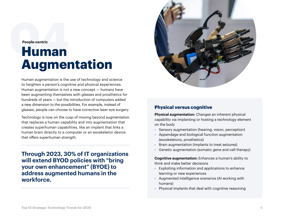#### **People-centric**

## **04Human Augmentation**

Human augmentation is the use of technology and science to heighten a person's cognitive and physical experiences. Human augmentation is not a new concept — humans have been augmenting themselves with glasses and prosthetics for hundreds of years — but the introduction of computers added a new dimension to the possibilities. For example, instead of glasses, people can choose to have corrective laser eye surgery.

Technology is now on the cusp of moving beyond augmentation that replaces a human capability and into augmentation that creates superhuman capabilities, like an implant that links a human brain directly to a computer or an exoskeleton device that offers superhuman strength.

**Through 2023, 30% of IT organizations will extend BYOD policies with "bring your own enhancement" (BYOE) to address augmented humans in the workforce.** 



#### **Physical versus cognitive**

**Physical augmentation:** Changes an inherent physical capability via implanting or hosting a technology element on the body

- Sensory augmentation (hearing, vision, perception)
- Appendage and biological function augmentation (exoskeletons, prosthetics)
- Brain augmentation (implants to treat seizures)
- Genetic augmentation (somatic gene and cell therapy)

**Cognitive augmentation:** Enhances a human's ability to think and make better decisions

- Exploiting information and applications to enhance learning or new experiences
- Augmented intelligence scenarios (AI working with humans)
- Physical implants that deal with cognitive reasoning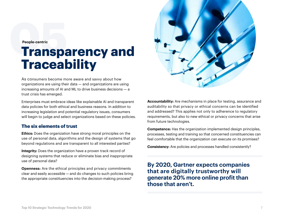**People-centric**

# **Feople-centric**<br> **Transparency and Traceability**

As consumers become more aware and savvy about how organizations are using their data — and organizations are using increasing amounts of AI and ML to drive business decisions — a trust crisis has emerged.

Enterprises must embrace ideas like explainable AI and transparent data policies for both ethical and business reasons. In addition to increasing legislation and potential regulatory issues, consumers will begin to judge and select organizations based on these policies.

### **The six elements of trust**

**Ethics:** Does the organization have strong moral principles on the use of personal data, algorithms and the design of systems that go beyond regulations and are transparent to all interested parties?

**Integrity:** Does the organization have a proven track record of designing systems that reduce or eliminate bias and inappropriate use of personal data?

**Openness:** Are the ethical principles and privacy commitments clear and easily accessible — and do changes to such policies bring the appropriate constituencies into the decision-making process?



**Accountability:** Are mechanisms in place for testing, assurance and auditability so that privacy or ethical concerns can be identified and addressed? This applies not only to adherence to regulatory requirements, but also to new ethical or privacy concerns that arise from future technologies.

**Competence:** Has the organization implemented design principles, processes, testing and training so that concerned constituencies can feel comfortable that the organization can execute on its promises?

**Consistency:** Are policies and processes handled consistently?

**By 2020, Gartner expects companies that are digitally trustworthy will generate 20% more online profit than those that aren't.**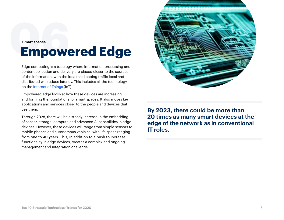# **Empowered Edge Smart spaces**

Edge computing is a topology where information processing and content collection and delivery are placed closer to the sources of the information, with the idea that keeping traffic local and distributed will reduce latency. This includes all the technology on the [Internet of Things](https://www.gartner.com/smarterwithgartner/lessons-from-iot-early-adopters) (IoT).

Empowered edge looks at how these devices are increasing and forming the foundations for smart spaces. It also moves key applications and services closer to the people and devices that use them.

Through 2028, there will be a steady increase in the embedding of sensor, storage, compute and advanced AI capabilities in edge devices. However, these devices will range from simple sensors to mobile phones and autonomous vehicles, with life spans ranging from one to 40 years. This, in addition to a push to increase functionality in edge devices, creates a complex and ongoing management and integration challenge.



**By 2023, there could be more than 20 times as many smart devices at the edge of the network as in conventional IT roles.**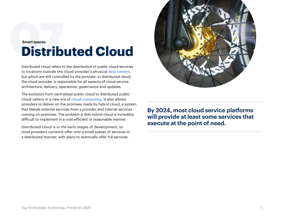## **Distributed Cloud Smart spaces**

Distributed cloud refers to the distribution of public cloud services to locations outside the cloud provider's physical [data centers,](https://www.gartner.com/smarterwithgartner/the-data-center-is-almost-dead) but which are still controlled by the provider. In distributed cloud, the cloud provider is responsible for all aspects of cloud service architecture, delivery, operations, governance and updates.

The evolution from centralized public cloud to distributed public cloud ushers in a new era of [cloud computing](https://www.gartner.com/smarterwithgartner/6-steps-for-planning-a-cloud-strategy). It also allows providers to deliver on the promises made by hybrid cloud, a system that blends external services from a provider and internal services running on-premises. The problem is that hybrid cloud is incredibly difficult to implement in a cost-efficient or reasonable manner.

Distributed cloud is in the early stages of development, so most providers currently offer only a small subset of services in a distributed manner, with plans to eventually offer full services.



**By 2024, most cloud service platforms will provide at least some services that execute at the point of need.**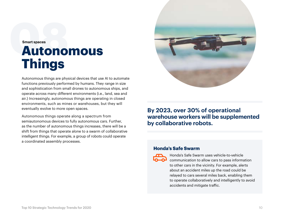## **08Autonomous Things Smart spaces**

Autonomous things are physical devices that use AI to automate functions previously performed by humans. They range in size and sophistication from small drones to autonomous ships, and operate across many different environments (i.e., land, sea and air.) Increasingly, autonomous things are operating in closed environments, such as mines or warehouses, but they will eventually evolve to more open spaces.

Autonomous things operate along a spectrum from semiautonomous devices to fully autonomous cars. Further, as the number of autonomous things increases, there will be a shift from things that operate alone to a swarm of collaborative intelligent things. For example, a group of robots could operate a coordinated assembly processes.



### **By 2023, over 30% of operational warehouse workers will be supplemented by collaborative robots.**

#### **Honda's Safe Swarm**



Honda's Safe Swarm uses vehicle-to-vehicle communication to allow cars to pass information to other cars in the vicinity. For example, alerts about an accident miles up the road could be relayed to cars several miles back, enabling them to operate collaboratively and intelligently to avoid accidents and mitigate traffic.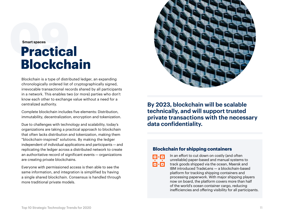## **Dractical Blockchain Smart spaces**

Blockchain is a type of distributed ledger, an expanding chronologically ordered list of cryptographically signed, irrevocable transactional records shared by all participants in a network. This enables two (or more) parties who don't know each other to exchange value without a need for a centralized authority.

Complete blockchain includes five elements: Distribution, immutability, decentralization, encryption and tokenization.

Due to challenges with technology and scalability, today's organizations are taking a practical approach to blockchain that often lacks distribution and tokenization, making them "blockchain-inspired" solutions. By making the ledger independent of individual applications and participants — and replicating the ledger across a distributed network to create an authoritative record of significant events — organizations are creating private blockchains.

Everyone with permissioned access is then able to see the same information, and integration is simplified by having a single shared blockchain. Consensus is handled through more traditional private models.



**By 2023, blockchain will be scalable technically, and will support trusted private transactions with the necessary data confidentiality.** 

#### **Blockchain for shipping containers**



In an effort to cut down on costly (and often unreliable) paper-based and manual systems to track goods shipped via the ocean, Maersk and IBM introduced TradeLens — a blockchain-based platform for tracking shipping containers and processing paperwork. With major shipping players now on board, the platform covers more than half of the world's ocean container cargo, reducing inefficiencies and offering visibility for all participants.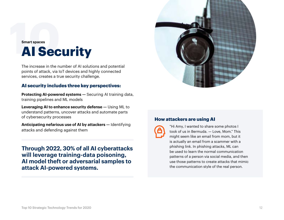# **10** Security **Smart spaces**

The increase in the number of AI solutions and potential points of attack, via IoT devices and highly connected services, creates a true security challenge.

#### **AI security includes three key perspectives:**

**Protecting AI-powered systems —** Securing AI training data, training pipelines and ML models

**Leveraging AI to enhance security defense —** Using ML to understand patterns, uncover attacks and automate parts of cybersecurity processes

**Anticipating nefarious use of AI by attackers —** Identifying attacks and defending against them

**Through 2022, 30% of all AI cyberattacks will leverage training-data poisoning, AI model theft or adversarial samples to attack AI-powered systems.**



#### **How attackers are using AI**



"Hi Amy, I wanted to share some photos I took of us in Bermuda. — Love, Mom." This might seem like an email from mom, but it is actually an email from a scammer with a phishing link. In phishing attacks, ML can be used to learn the normal communication patterns of a person via social media, and then use those patterns to create attacks that mimic the communication style of the real person.